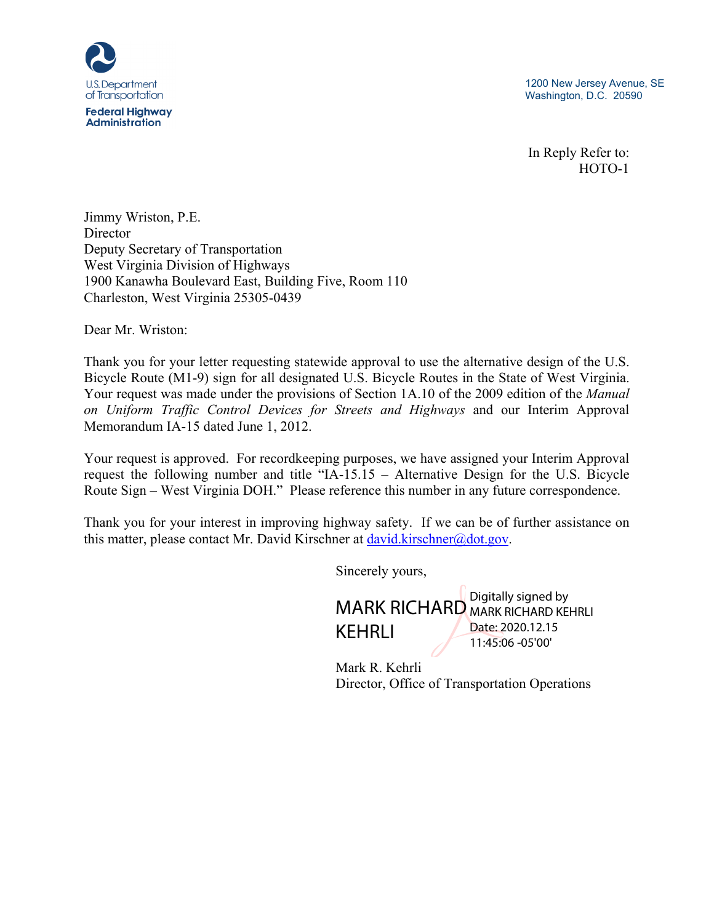

1200 New Jersey Avenue, SE Washington, D.C. 20590

In Reply Refer to: HOTO-1

Jimmy Wriston, P.E. **Director** Deputy Secretary of Transportation West Virginia Division of Highways 1900 Kanawha Boulevard East, Building Five, Room 110 Charleston, West Virginia 25305-0439

Dear Mr. Wriston:

Thank you for your letter requesting statewide approval to use the alternative design of the U.S. Bicycle Route (M1-9) sign for all designated U.S. Bicycle Routes in the State of West Virginia. Your request was made under the provisions of Section 1A.10 of the 2009 edition of the *Manual on Uniform Traffic Control Devices for Streets and Highways* and our Interim Approval Memorandum IA-15 dated June 1, 2012.

Your request is approved. For recordkeeping purposes, we have assigned your Interim Approval request the following number and title "IA-15.15 – Alternative Design for the U.S. Bicycle Route Sign – West Virginia DOH." Please reference this number in any future correspondence.

Thank you for your interest in improving highway safety. If we can be of further assistance on this matter, please contact Mr. David Kirschner at david.kirschner@dot.gov.

Sincerely yours,

MARK RICHARD MARK RICHARD KEHRLI KEHRLI Digitally signed by Date: 2020.12.15 11:45:06 -05'00'

Mark R. Kehrli Director, Office of Transportation Operations